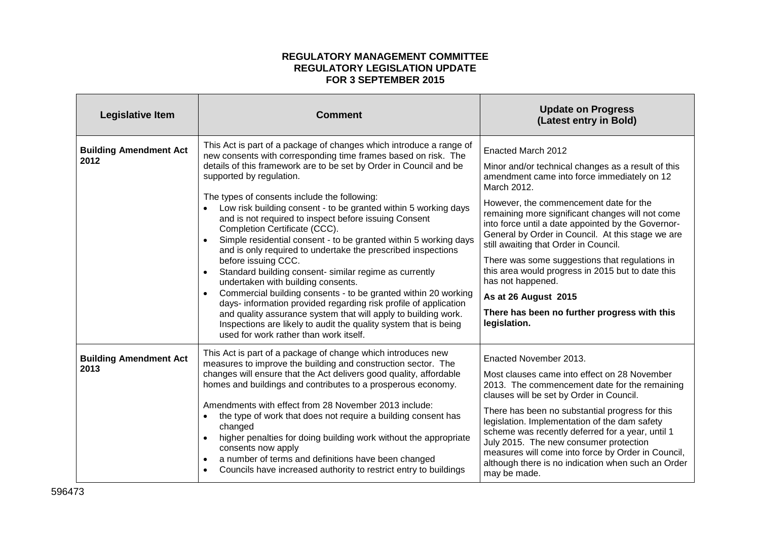## **REGULATORY MANAGEMENT COMMITTEE REGULATORY LEGISLATION UPDATE FOR 3 SEPTEMBER 2015**

| <b>Legislative Item</b>               | <b>Comment</b>                                                                                                                                                                                                                                                                                                                                                                                                                                                                                                                                                                                                                                                                                                                                                                                                                                                                                                                                                                                                                                     | <b>Update on Progress</b><br>(Latest entry in Bold)                                                                                                                                                                                                                                                                                                                                                                                                                                                                                                                                                          |
|---------------------------------------|----------------------------------------------------------------------------------------------------------------------------------------------------------------------------------------------------------------------------------------------------------------------------------------------------------------------------------------------------------------------------------------------------------------------------------------------------------------------------------------------------------------------------------------------------------------------------------------------------------------------------------------------------------------------------------------------------------------------------------------------------------------------------------------------------------------------------------------------------------------------------------------------------------------------------------------------------------------------------------------------------------------------------------------------------|--------------------------------------------------------------------------------------------------------------------------------------------------------------------------------------------------------------------------------------------------------------------------------------------------------------------------------------------------------------------------------------------------------------------------------------------------------------------------------------------------------------------------------------------------------------------------------------------------------------|
| <b>Building Amendment Act</b><br>2012 | This Act is part of a package of changes which introduce a range of<br>new consents with corresponding time frames based on risk. The<br>details of this framework are to be set by Order in Council and be<br>supported by regulation.<br>The types of consents include the following:<br>Low risk building consent - to be granted within 5 working days<br>and is not required to inspect before issuing Consent<br>Completion Certificate (CCC).<br>Simple residential consent - to be granted within 5 working days<br>and is only required to undertake the prescribed inspections<br>before issuing CCC.<br>Standard building consent- similar regime as currently<br>undertaken with building consents.<br>Commercial building consents - to be granted within 20 working<br>$\bullet$<br>days- information provided regarding risk profile of application<br>and quality assurance system that will apply to building work.<br>Inspections are likely to audit the quality system that is being<br>used for work rather than work itself. | Enacted March 2012<br>Minor and/or technical changes as a result of this<br>amendment came into force immediately on 12<br>March 2012.<br>However, the commencement date for the<br>remaining more significant changes will not come<br>into force until a date appointed by the Governor-<br>General by Order in Council. At this stage we are<br>still awaiting that Order in Council.<br>There was some suggestions that regulations in<br>this area would progress in 2015 but to date this<br>has not happened.<br>As at 26 August 2015<br>There has been no further progress with this<br>legislation. |
| <b>Building Amendment Act</b><br>2013 | This Act is part of a package of change which introduces new<br>measures to improve the building and construction sector. The<br>changes will ensure that the Act delivers good quality, affordable<br>homes and buildings and contributes to a prosperous economy.<br>Amendments with effect from 28 November 2013 include:<br>the type of work that does not require a building consent has<br>changed<br>higher penalties for doing building work without the appropriate<br>consents now apply<br>a number of terms and definitions have been changed<br>Councils have increased authority to restrict entry to buildings<br>$\bullet$                                                                                                                                                                                                                                                                                                                                                                                                         | Enacted November 2013.<br>Most clauses came into effect on 28 November<br>2013. The commencement date for the remaining<br>clauses will be set by Order in Council.<br>There has been no substantial progress for this<br>legislation. Implementation of the dam safety<br>scheme was recently deferred for a year, until 1<br>July 2015. The new consumer protection<br>measures will come into force by Order in Council,<br>although there is no indication when such an Order<br>may be made.                                                                                                            |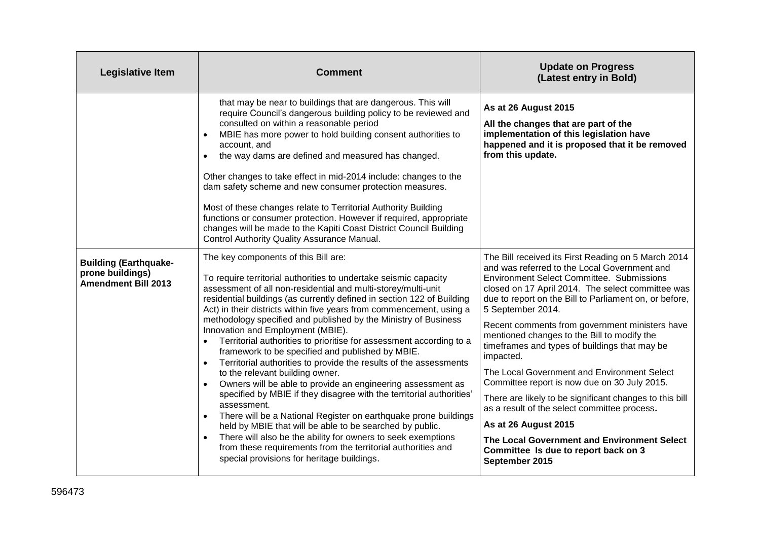| <b>Legislative Item</b>                                                        | <b>Comment</b>                                                                                                                                                                                                                                                                                                                                                                                                                                                                                                                                                                                                                                                                                                                                                                                                                                                                                                                                                                                                                                                                                                                                                                   | <b>Update on Progress</b><br>(Latest entry in Bold)                                                                                                                                                                                                                                                                                                                                                                                                                                                                                                                                                                                                                                                                                                                                                   |
|--------------------------------------------------------------------------------|----------------------------------------------------------------------------------------------------------------------------------------------------------------------------------------------------------------------------------------------------------------------------------------------------------------------------------------------------------------------------------------------------------------------------------------------------------------------------------------------------------------------------------------------------------------------------------------------------------------------------------------------------------------------------------------------------------------------------------------------------------------------------------------------------------------------------------------------------------------------------------------------------------------------------------------------------------------------------------------------------------------------------------------------------------------------------------------------------------------------------------------------------------------------------------|-------------------------------------------------------------------------------------------------------------------------------------------------------------------------------------------------------------------------------------------------------------------------------------------------------------------------------------------------------------------------------------------------------------------------------------------------------------------------------------------------------------------------------------------------------------------------------------------------------------------------------------------------------------------------------------------------------------------------------------------------------------------------------------------------------|
|                                                                                | that may be near to buildings that are dangerous. This will<br>require Council's dangerous building policy to be reviewed and<br>consulted on within a reasonable period<br>MBIE has more power to hold building consent authorities to<br>account, and<br>the way dams are defined and measured has changed.<br>$\bullet$<br>Other changes to take effect in mid-2014 include: changes to the<br>dam safety scheme and new consumer protection measures.<br>Most of these changes relate to Territorial Authority Building<br>functions or consumer protection. However if required, appropriate<br>changes will be made to the Kapiti Coast District Council Building<br>Control Authority Quality Assurance Manual.                                                                                                                                                                                                                                                                                                                                                                                                                                                           | As at 26 August 2015<br>All the changes that are part of the<br>implementation of this legislation have<br>happened and it is proposed that it be removed<br>from this update.                                                                                                                                                                                                                                                                                                                                                                                                                                                                                                                                                                                                                        |
| <b>Building (Earthquake-</b><br>prone buildings)<br><b>Amendment Bill 2013</b> | The key components of this Bill are:<br>To require territorial authorities to undertake seismic capacity<br>assessment of all non-residential and multi-storey/multi-unit<br>residential buildings (as currently defined in section 122 of Building<br>Act) in their districts within five years from commencement, using a<br>methodology specified and published by the Ministry of Business<br>Innovation and Employment (MBIE).<br>Territorial authorities to prioritise for assessment according to a<br>$\bullet$<br>framework to be specified and published by MBIE.<br>Territorial authorities to provide the results of the assessments<br>to the relevant building owner.<br>Owners will be able to provide an engineering assessment as<br>specified by MBIE if they disagree with the territorial authorities'<br>assessment.<br>There will be a National Register on earthquake prone buildings<br>$\bullet$<br>held by MBIE that will be able to be searched by public.<br>There will also be the ability for owners to seek exemptions<br>$\bullet$<br>from these requirements from the territorial authorities and<br>special provisions for heritage buildings. | The Bill received its First Reading on 5 March 2014<br>and was referred to the Local Government and<br><b>Environment Select Committee. Submissions</b><br>closed on 17 April 2014. The select committee was<br>due to report on the Bill to Parliament on, or before,<br>5 September 2014.<br>Recent comments from government ministers have<br>mentioned changes to the Bill to modify the<br>timeframes and types of buildings that may be<br>impacted.<br>The Local Government and Environment Select<br>Committee report is now due on 30 July 2015.<br>There are likely to be significant changes to this bill<br>as a result of the select committee process.<br>As at 26 August 2015<br>The Local Government and Environment Select<br>Committee Is due to report back on 3<br>September 2015 |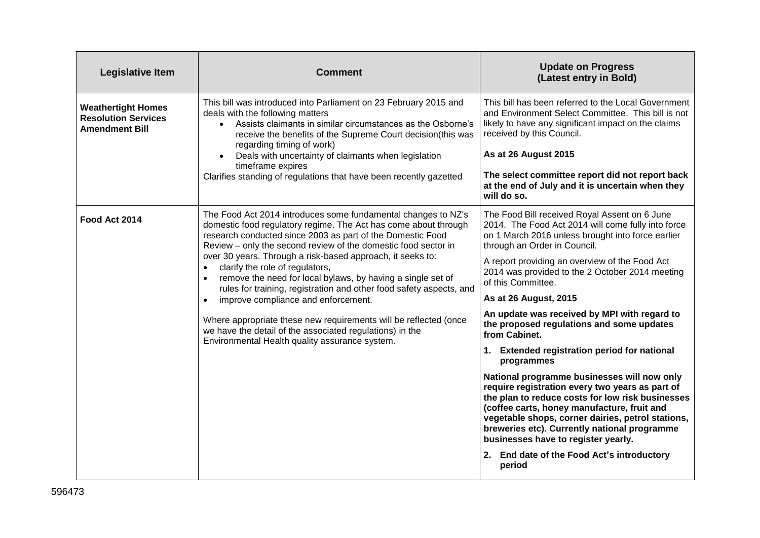| <b>Legislative Item</b>                                                          | <b>Comment</b>                                                                                                                                                                                                                                                                                                                                                                                                                                                                                                                                                                                                                                                                                                                                                          | <b>Update on Progress</b><br>(Latest entry in Bold)                                                                                                                                                                                                                                                                                                                                                                                                                                                                                                                                                                                                                                                                                                                                                                                                                                                                               |
|----------------------------------------------------------------------------------|-------------------------------------------------------------------------------------------------------------------------------------------------------------------------------------------------------------------------------------------------------------------------------------------------------------------------------------------------------------------------------------------------------------------------------------------------------------------------------------------------------------------------------------------------------------------------------------------------------------------------------------------------------------------------------------------------------------------------------------------------------------------------|-----------------------------------------------------------------------------------------------------------------------------------------------------------------------------------------------------------------------------------------------------------------------------------------------------------------------------------------------------------------------------------------------------------------------------------------------------------------------------------------------------------------------------------------------------------------------------------------------------------------------------------------------------------------------------------------------------------------------------------------------------------------------------------------------------------------------------------------------------------------------------------------------------------------------------------|
| <b>Weathertight Homes</b><br><b>Resolution Services</b><br><b>Amendment Bill</b> | This bill was introduced into Parliament on 23 February 2015 and<br>deals with the following matters<br>• Assists claimants in similar circumstances as the Osborne's<br>receive the benefits of the Supreme Court decision(this was<br>regarding timing of work)<br>Deals with uncertainty of claimants when legislation<br>timeframe expires<br>Clarifies standing of regulations that have been recently gazetted                                                                                                                                                                                                                                                                                                                                                    | This bill has been referred to the Local Government<br>and Environment Select Committee. This bill is not<br>likely to have any significant impact on the claims<br>received by this Council.<br>As at 26 August 2015<br>The select committee report did not report back<br>at the end of July and it is uncertain when they<br>will do so.                                                                                                                                                                                                                                                                                                                                                                                                                                                                                                                                                                                       |
| Food Act 2014                                                                    | The Food Act 2014 introduces some fundamental changes to NZ's<br>domestic food regulatory regime. The Act has come about through<br>research conducted since 2003 as part of the Domestic Food<br>Review - only the second review of the domestic food sector in<br>over 30 years. Through a risk-based approach, it seeks to:<br>clarify the role of regulators,<br>$\bullet$<br>remove the need for local bylaws, by having a single set of<br>$\bullet$<br>rules for training, registration and other food safety aspects, and<br>improve compliance and enforcement.<br>$\bullet$<br>Where appropriate these new requirements will be reflected (once<br>we have the detail of the associated regulations) in the<br>Environmental Health quality assurance system. | The Food Bill received Royal Assent on 6 June<br>2014. The Food Act 2014 will come fully into force<br>on 1 March 2016 unless brought into force earlier<br>through an Order in Council.<br>A report providing an overview of the Food Act<br>2014 was provided to the 2 October 2014 meeting<br>of this Committee.<br>As at 26 August, 2015<br>An update was received by MPI with regard to<br>the proposed regulations and some updates<br>from Cabinet.<br>1. Extended registration period for national<br>programmes<br>National programme businesses will now only<br>require registration every two years as part of<br>the plan to reduce costs for low risk businesses<br>(coffee carts, honey manufacture, fruit and<br>vegetable shops, corner dairies, petrol stations,<br>breweries etc). Currently national programme<br>businesses have to register yearly.<br>2. End date of the Food Act's introductory<br>period |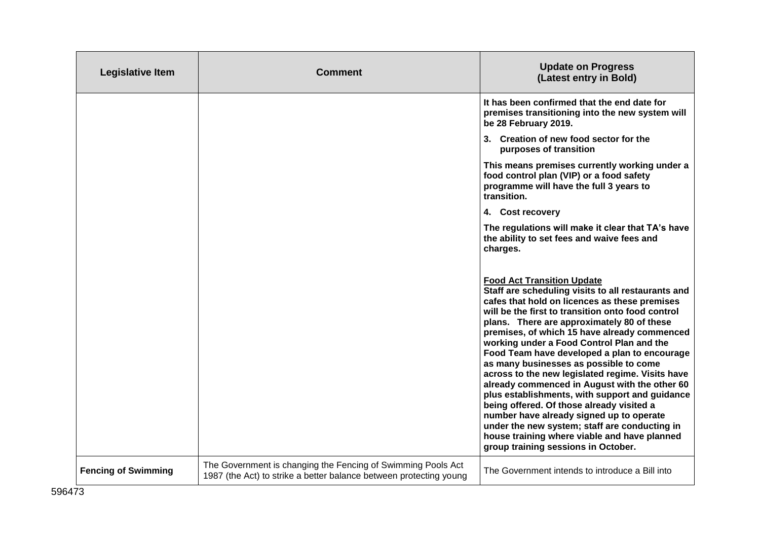| <b>Legislative Item</b>    | <b>Comment</b>                                                                                                                     | <b>Update on Progress</b><br>(Latest entry in Bold)                                                                                                                                                                                                                                                                                                                                                                                                                                                                                                                                                                                                                                                                                                                                                                        |
|----------------------------|------------------------------------------------------------------------------------------------------------------------------------|----------------------------------------------------------------------------------------------------------------------------------------------------------------------------------------------------------------------------------------------------------------------------------------------------------------------------------------------------------------------------------------------------------------------------------------------------------------------------------------------------------------------------------------------------------------------------------------------------------------------------------------------------------------------------------------------------------------------------------------------------------------------------------------------------------------------------|
|                            |                                                                                                                                    | It has been confirmed that the end date for<br>premises transitioning into the new system will<br>be 28 February 2019.                                                                                                                                                                                                                                                                                                                                                                                                                                                                                                                                                                                                                                                                                                     |
|                            |                                                                                                                                    | 3. Creation of new food sector for the<br>purposes of transition                                                                                                                                                                                                                                                                                                                                                                                                                                                                                                                                                                                                                                                                                                                                                           |
|                            |                                                                                                                                    | This means premises currently working under a<br>food control plan (VIP) or a food safety<br>programme will have the full 3 years to<br>transition.                                                                                                                                                                                                                                                                                                                                                                                                                                                                                                                                                                                                                                                                        |
|                            |                                                                                                                                    | 4. Cost recovery                                                                                                                                                                                                                                                                                                                                                                                                                                                                                                                                                                                                                                                                                                                                                                                                           |
|                            |                                                                                                                                    | The regulations will make it clear that TA's have<br>the ability to set fees and waive fees and<br>charges.                                                                                                                                                                                                                                                                                                                                                                                                                                                                                                                                                                                                                                                                                                                |
|                            |                                                                                                                                    | <b>Food Act Transition Update</b><br>Staff are scheduling visits to all restaurants and<br>cafes that hold on licences as these premises<br>will be the first to transition onto food control<br>plans. There are approximately 80 of these<br>premises, of which 15 have already commenced<br>working under a Food Control Plan and the<br>Food Team have developed a plan to encourage<br>as many businesses as possible to come<br>across to the new legislated regime. Visits have<br>already commenced in August with the other 60<br>plus establishments, with support and guidance<br>being offered. Of those already visited a<br>number have already signed up to operate<br>under the new system; staff are conducting in<br>house training where viable and have planned<br>group training sessions in October. |
| <b>Fencing of Swimming</b> | The Government is changing the Fencing of Swimming Pools Act<br>1987 (the Act) to strike a better balance between protecting young | The Government intends to introduce a Bill into                                                                                                                                                                                                                                                                                                                                                                                                                                                                                                                                                                                                                                                                                                                                                                            |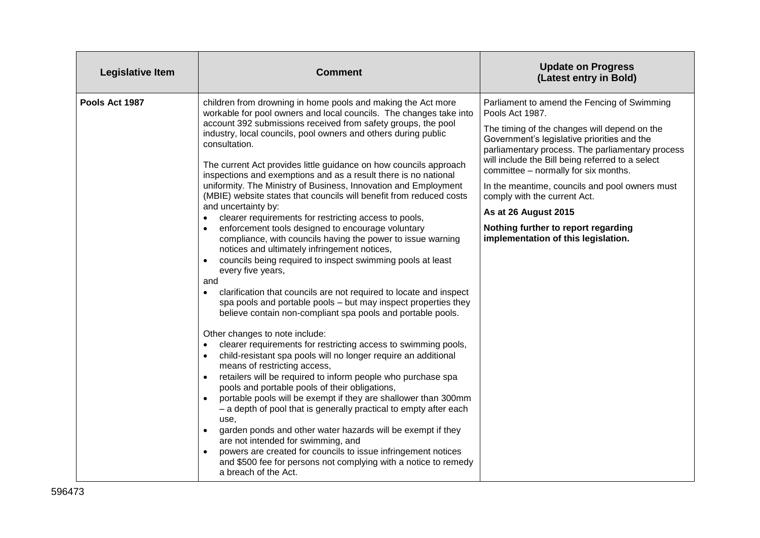| <b>Legislative Item</b> | <b>Comment</b>                                                                                                                                                                                                                                                                                                                                                                                                                                                                                                                                                                                                                                                                                                                                                                                                                                                                                                                                                                                                                                                                                                                                                                                                                                                                                                                                                                                                                                                                                                                                                                                                                                                                                                                                                                                                                                                                                  | <b>Update on Progress</b><br>(Latest entry in Bold)                                                                                                                                                                                                                                                                                                                                                                                                                                                   |
|-------------------------|-------------------------------------------------------------------------------------------------------------------------------------------------------------------------------------------------------------------------------------------------------------------------------------------------------------------------------------------------------------------------------------------------------------------------------------------------------------------------------------------------------------------------------------------------------------------------------------------------------------------------------------------------------------------------------------------------------------------------------------------------------------------------------------------------------------------------------------------------------------------------------------------------------------------------------------------------------------------------------------------------------------------------------------------------------------------------------------------------------------------------------------------------------------------------------------------------------------------------------------------------------------------------------------------------------------------------------------------------------------------------------------------------------------------------------------------------------------------------------------------------------------------------------------------------------------------------------------------------------------------------------------------------------------------------------------------------------------------------------------------------------------------------------------------------------------------------------------------------------------------------------------------------|-------------------------------------------------------------------------------------------------------------------------------------------------------------------------------------------------------------------------------------------------------------------------------------------------------------------------------------------------------------------------------------------------------------------------------------------------------------------------------------------------------|
| Pools Act 1987          | children from drowning in home pools and making the Act more<br>workable for pool owners and local councils. The changes take into<br>account 392 submissions received from safety groups, the pool<br>industry, local councils, pool owners and others during public<br>consultation.<br>The current Act provides little guidance on how councils approach<br>inspections and exemptions and as a result there is no national<br>uniformity. The Ministry of Business, Innovation and Employment<br>(MBIE) website states that councils will benefit from reduced costs<br>and uncertainty by:<br>clearer requirements for restricting access to pools,<br>enforcement tools designed to encourage voluntary<br>compliance, with councils having the power to issue warning<br>notices and ultimately infringement notices,<br>councils being required to inspect swimming pools at least<br>$\bullet$<br>every five years,<br>and<br>clarification that councils are not required to locate and inspect<br>spa pools and portable pools - but may inspect properties they<br>believe contain non-compliant spa pools and portable pools.<br>Other changes to note include:<br>clearer requirements for restricting access to swimming pools,<br>child-resistant spa pools will no longer require an additional<br>means of restricting access,<br>retailers will be required to inform people who purchase spa<br>pools and portable pools of their obligations,<br>portable pools will be exempt if they are shallower than 300mm<br>$\bullet$<br>- a depth of pool that is generally practical to empty after each<br>use.<br>garden ponds and other water hazards will be exempt if they<br>are not intended for swimming, and<br>powers are created for councils to issue infringement notices<br>and \$500 fee for persons not complying with a notice to remedy<br>a breach of the Act. | Parliament to amend the Fencing of Swimming<br>Pools Act 1987.<br>The timing of the changes will depend on the<br>Government's legislative priorities and the<br>parliamentary process. The parliamentary process<br>will include the Bill being referred to a select<br>committee - normally for six months.<br>In the meantime, councils and pool owners must<br>comply with the current Act.<br>As at 26 August 2015<br>Nothing further to report regarding<br>implementation of this legislation. |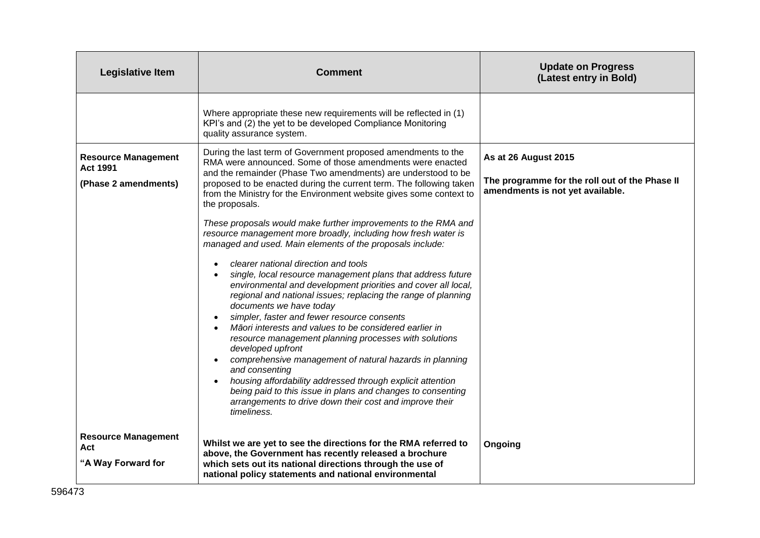| <b>Legislative Item</b>                                               | <b>Comment</b>                                                                                                                                                                                                                                                                                                                                                                                                                                                                                                                                                                                                                                                                                                                                                                                           | <b>Update on Progress</b><br>(Latest entry in Bold)                                                        |
|-----------------------------------------------------------------------|----------------------------------------------------------------------------------------------------------------------------------------------------------------------------------------------------------------------------------------------------------------------------------------------------------------------------------------------------------------------------------------------------------------------------------------------------------------------------------------------------------------------------------------------------------------------------------------------------------------------------------------------------------------------------------------------------------------------------------------------------------------------------------------------------------|------------------------------------------------------------------------------------------------------------|
|                                                                       | Where appropriate these new requirements will be reflected in (1)<br>KPI's and (2) the yet to be developed Compliance Monitoring<br>quality assurance system.                                                                                                                                                                                                                                                                                                                                                                                                                                                                                                                                                                                                                                            |                                                                                                            |
| <b>Resource Management</b><br><b>Act 1991</b><br>(Phase 2 amendments) | During the last term of Government proposed amendments to the<br>RMA were announced. Some of those amendments were enacted<br>and the remainder (Phase Two amendments) are understood to be<br>proposed to be enacted during the current term. The following taken<br>from the Ministry for the Environment website gives some context to<br>the proposals.<br>These proposals would make further improvements to the RMA and<br>resource management more broadly, including how fresh water is                                                                                                                                                                                                                                                                                                          | As at 26 August 2015<br>The programme for the roll out of the Phase II<br>amendments is not yet available. |
|                                                                       | managed and used. Main elements of the proposals include:<br>clearer national direction and tools<br>single, local resource management plans that address future<br>environmental and development priorities and cover all local,<br>regional and national issues; replacing the range of planning<br>documents we have today<br>simpler, faster and fewer resource consents<br>Māori interests and values to be considered earlier in<br>resource management planning processes with solutions<br>developed upfront<br>comprehensive management of natural hazards in planning<br>and consenting<br>housing affordability addressed through explicit attention<br>being paid to this issue in plans and changes to consenting<br>arrangements to drive down their cost and improve their<br>timeliness. |                                                                                                            |
| <b>Resource Management</b><br>Act<br>"A Way Forward for               | Whilst we are yet to see the directions for the RMA referred to<br>above, the Government has recently released a brochure<br>which sets out its national directions through the use of<br>national policy statements and national environmental                                                                                                                                                                                                                                                                                                                                                                                                                                                                                                                                                          | Ongoing                                                                                                    |